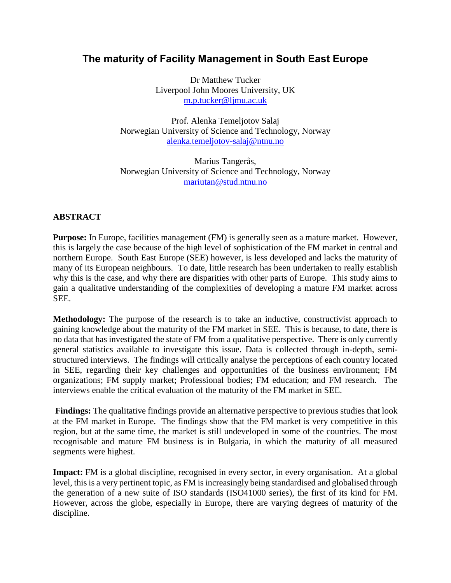# **The maturity of Facility Management in South East Europe**

Dr Matthew Tucker Liverpool John Moores University, UK [m.p.tucker@ljmu.ac.uk](mailto:m.p.tucker@ljmu.ac.uk)

Prof. Alenka Temeljotov Salaj Norwegian University of Science and Technology, Norway [alenka.temeljotov-salaj@ntnu.no](mailto:alenka.temeljotov-salaj@ntnu.no)

Marius Tangerås, Norwegian University of Science and Technology, Norway [mariutan@stud.ntnu.no](mailto:mariutan@stud.ntnu.no)

# **ABSTRACT**

**Purpose:** In Europe, facilities management (FM) is generally seen as a mature market. However, this is largely the case because of the high level of sophistication of the FM market in central and northern Europe. South East Europe (SEE) however, is less developed and lacks the maturity of many of its European neighbours. To date, little research has been undertaken to really establish why this is the case, and why there are disparities with other parts of Europe. This study aims to gain a qualitative understanding of the complexities of developing a mature FM market across SEE.

**Methodology:** The purpose of the research is to take an inductive, constructivist approach to gaining knowledge about the maturity of the FM market in SEE. This is because, to date, there is no data that has investigated the state of FM from a qualitative perspective. There is only currently general statistics available to investigate this issue. Data is collected through in-depth, semistructured interviews. The findings will critically analyse the perceptions of each country located in SEE, regarding their key challenges and opportunities of the business environment; FM organizations; FM supply market; Professional bodies; FM education; and FM research. The interviews enable the critical evaluation of the maturity of the FM market in SEE.

**Findings:** The qualitative findings provide an alternative perspective to previous studies that look at the FM market in Europe. The findings show that the FM market is very competitive in this region, but at the same time, the market is still undeveloped in some of the countries. The most recognisable and mature FM business is in Bulgaria, in which the maturity of all measured segments were highest.

**Impact:** FM is a global discipline, recognised in every sector, in every organisation. At a global level, this is a very pertinent topic, as FM is increasingly being standardised and globalised through the generation of a new suite of ISO standards (ISO41000 series), the first of its kind for FM. However, across the globe, especially in Europe, there are varying degrees of maturity of the discipline.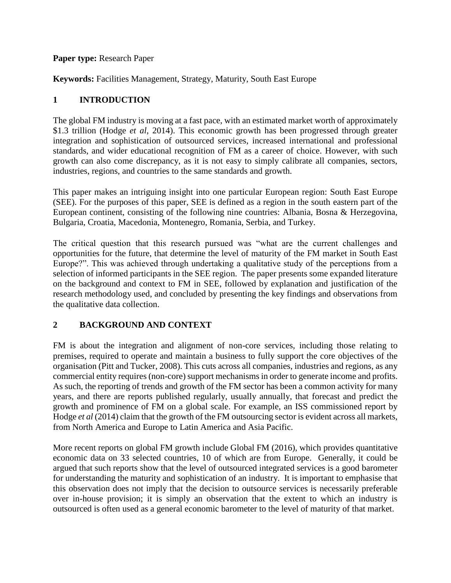### **Paper type:** Research Paper

**Keywords:** Facilities Management, Strategy, Maturity, South East Europe

## **1 INTRODUCTION**

The global FM industry is moving at a fast pace, with an estimated market worth of approximately \$1.3 trillion (Hodge *et al*, 2014). This economic growth has been progressed through greater integration and sophistication of outsourced services, increased international and professional standards, and wider educational recognition of FM as a career of choice. However, with such growth can also come discrepancy, as it is not easy to simply calibrate all companies, sectors, industries, regions, and countries to the same standards and growth.

This paper makes an intriguing insight into one particular European region: South East Europe (SEE). For the purposes of this paper, SEE is defined as a region in the south eastern part of the European continent, consisting of the following nine countries: Albania, Bosna & Herzegovina, Bulgaria, Croatia, Macedonia, Montenegro, Romania, Serbia, and Turkey.

The critical question that this research pursued was "what are the current challenges and opportunities for the future, that determine the level of maturity of the FM market in South East Europe?". This was achieved through undertaking a qualitative study of the perceptions from a selection of informed participants in the SEE region. The paper presents some expanded literature on the background and context to FM in SEE, followed by explanation and justification of the research methodology used, and concluded by presenting the key findings and observations from the qualitative data collection.

# **2 BACKGROUND AND CONTEXT**

FM is about the integration and alignment of non-core services, including those relating to premises, required to operate and maintain a business to fully support the core objectives of the organisation (Pitt and Tucker, 2008). This cuts across all companies, industries and regions, as any commercial entity requires (non-core) support mechanisms in order to generate income and profits. As such, the reporting of trends and growth of the FM sector has been a common activity for many years, and there are reports published regularly, usually annually, that forecast and predict the growth and prominence of FM on a global scale. For example, an ISS commissioned report by Hodge *et al* (2014) claim that the growth of the FM outsourcing sector is evident across all markets, from North America and Europe to Latin America and Asia Pacific.

More recent reports on global FM growth include Global FM (2016), which provides quantitative economic data on 33 selected countries, 10 of which are from Europe. Generally, it could be argued that such reports show that the level of outsourced integrated services is a good barometer for understanding the maturity and sophistication of an industry. It is important to emphasise that this observation does not imply that the decision to outsource services is necessarily preferable over in-house provision; it is simply an observation that the extent to which an industry is outsourced is often used as a general economic barometer to the level of maturity of that market.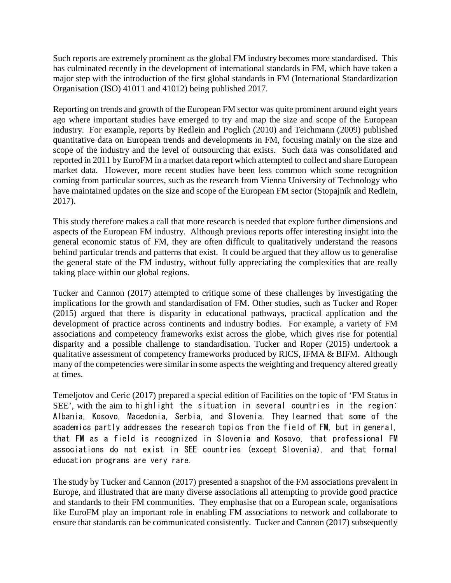Such reports are extremely prominent as the global FM industry becomes more standardised. This has culminated recently in the development of international standards in FM, which have taken a major step with the introduction of the first global standards in FM (International Standardization Organisation (ISO) 41011 and 41012) being published 2017.

Reporting on trends and growth of the European FM sector was quite prominent around eight years ago where important studies have emerged to try and map the size and scope of the European industry. For example, reports by Redlein and Poglich (2010) and Teichmann (2009) published quantitative data on European trends and developments in FM, focusing mainly on the size and scope of the industry and the level of outsourcing that exists. Such data was consolidated and reported in 2011 by EuroFM in a market data report which attempted to collect and share European market data. However, more recent studies have been less common which some recognition coming from particular sources, such as the research from Vienna University of Technology who have maintained updates on the size and scope of the European FM sector (Stopajnik and Redlein, 2017).

This study therefore makes a call that more research is needed that explore further dimensions and aspects of the European FM industry. Although previous reports offer interesting insight into the general economic status of FM, they are often difficult to qualitatively understand the reasons behind particular trends and patterns that exist. It could be argued that they allow us to generalise the general state of the FM industry, without fully appreciating the complexities that are really taking place within our global regions.

Tucker and Cannon (2017) attempted to critique some of these challenges by investigating the implications for the growth and standardisation of FM. Other studies, such as Tucker and Roper (2015) argued that there is disparity in educational pathways, practical application and the development of practice across continents and industry bodies. For example, a variety of FM associations and competency frameworks exist across the globe, which gives rise for potential disparity and a possible challenge to standardisation. Tucker and Roper (2015) undertook a qualitative assessment of competency frameworks produced by RICS, IFMA & BIFM. Although many of the competencies were similar in some aspects the weighting and frequency altered greatly at times.

Temeljotov and Ceric (2017) prepared a special edition of Facilities on the topic of 'FM Status in SEE', with the aim to highlight the situation in several countries in the region: Albania, Kosovo, Macedonia, Serbia, and Slovenia. They learned that some of the academics partly addresses the research topics from the field of FM, but in general, that FM as a field is recognized in Slovenia and Kosovo, that professional FM associations do not exist in SEE countries (except Slovenia), and that formal education programs are very rare.

The study by Tucker and Cannon (2017) presented a snapshot of the FM associations prevalent in Europe, and illustrated that are many diverse associations all attempting to provide good practice and standards to their FM communities. They emphasise that on a European scale, organisations like EuroFM play an important role in enabling FM associations to network and collaborate to ensure that standards can be communicated consistently. Tucker and Cannon (2017) subsequently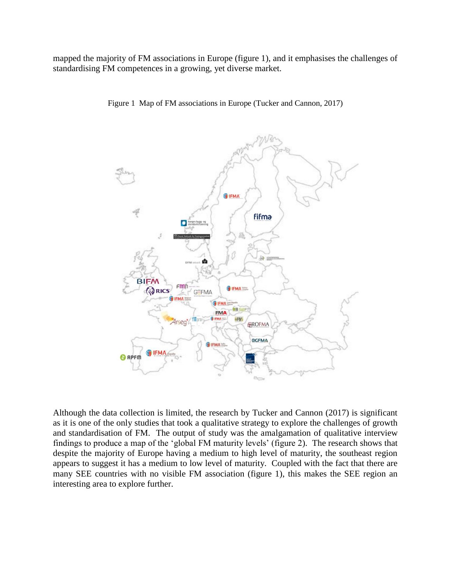mapped the majority of FM associations in Europe (figure 1), and it emphasises the challenges of standardising FM competences in a growing, yet diverse market.



Figure 1 Map of FM associations in Europe (Tucker and Cannon, 2017)

Although the data collection is limited, the research by Tucker and Cannon (2017) is significant as it is one of the only studies that took a qualitative strategy to explore the challenges of growth and standardisation of FM. The output of study was the amalgamation of qualitative interview findings to produce a map of the 'global FM maturity levels' (figure 2). The research shows that despite the majority of Europe having a medium to high level of maturity, the southeast region appears to suggest it has a medium to low level of maturity. Coupled with the fact that there are many SEE countries with no visible FM association (figure 1), this makes the SEE region an interesting area to explore further.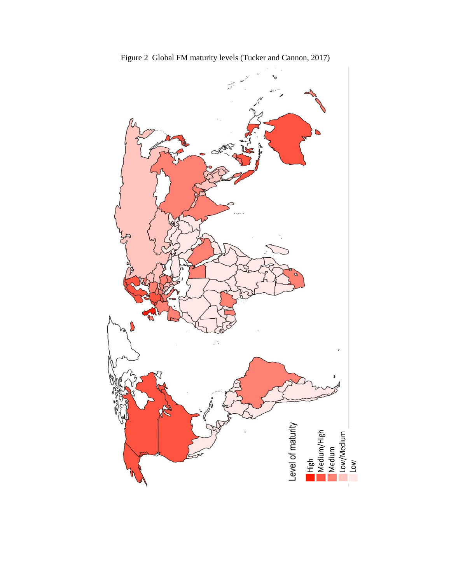

Figure 2 Global FM maturity levels (Tucker and Cannon, 2017)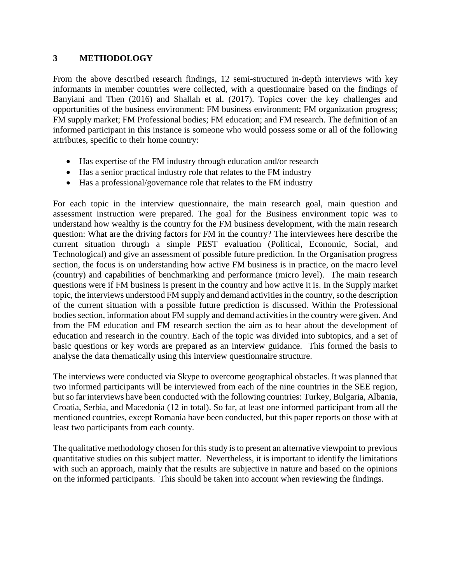## **3 METHODOLOGY**

From the above described research findings, 12 semi-structured in-depth interviews with key informants in member countries were collected, with a questionnaire based on the findings of Banyiani and Then (2016) and Shallah et al. (2017). Topics cover the key challenges and opportunities of the business environment: FM business environment; FM organization progress; FM supply market; FM Professional bodies; FM education; and FM research. The definition of an informed participant in this instance is someone who would possess some or all of the following attributes, specific to their home country:

- Has expertise of the FM industry through education and/or research
- Has a senior practical industry role that relates to the FM industry
- Has a professional/governance role that relates to the FM industry

For each topic in the interview questionnaire, the main research goal, main question and assessment instruction were prepared. The goal for the Business environment topic was to understand how wealthy is the country for the FM business development, with the main research question: What are the driving factors for FM in the country? The interviewees here describe the current situation through a simple PEST evaluation (Political, Economic, Social, and Technological) and give an assessment of possible future prediction. In the Organisation progress section, the focus is on understanding how active FM business is in practice, on the macro level (country) and capabilities of benchmarking and performance (micro level). The main research questions were if FM business is present in the country and how active it is. In the Supply market topic, the interviews understood FM supply and demand activities in the country, so the description of the current situation with a possible future prediction is discussed. Within the Professional bodies section, information about FM supply and demand activities in the country were given. And from the FM education and FM research section the aim as to hear about the development of education and research in the country. Each of the topic was divided into subtopics, and a set of basic questions or key words are prepared as an interview guidance. This formed the basis to analyse the data thematically using this interview questionnaire structure.

The interviews were conducted via Skype to overcome geographical obstacles. It was planned that two informed participants will be interviewed from each of the nine countries in the SEE region, but so far interviews have been conducted with the following countries: Turkey, Bulgaria, Albania, Croatia, Serbia, and Macedonia (12 in total). So far, at least one informed participant from all the mentioned countries, except Romania have been conducted, but this paper reports on those with at least two participants from each county.

The qualitative methodology chosen for this study is to present an alternative viewpoint to previous quantitative studies on this subject matter. Nevertheless, it is important to identify the limitations with such an approach, mainly that the results are subjective in nature and based on the opinions on the informed participants. This should be taken into account when reviewing the findings.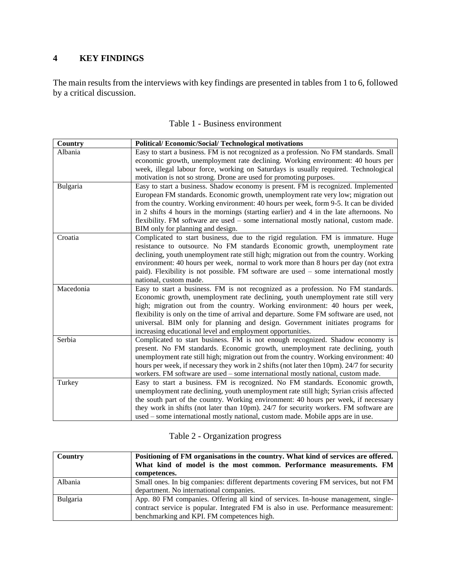# **4 KEY FINDINGS**

The main results from the interviews with key findings are presented in tables from 1 to 6, followed by a critical discussion.

| <b>Country</b> | <b>Political/Economic/Social/Technological motivations</b>                                                                                                           |
|----------------|----------------------------------------------------------------------------------------------------------------------------------------------------------------------|
| Albania        | Easy to start a business. FM is not recognized as a profession. No FM standards. Small                                                                               |
|                | economic growth, unemployment rate declining. Working environment: 40 hours per                                                                                      |
|                | week, illegal labour force, working on Saturdays is usually required. Technological                                                                                  |
|                | motivation is not so strong. Drone are used for promoting purposes.                                                                                                  |
| Bulgaria       | Easy to start a business. Shadow economy is present. FM is recognized. Implemented                                                                                   |
|                | European FM standards. Economic growth, unemployment rate very low; migration out                                                                                    |
|                | from the country. Working environment: 40 hours per week, form 9-5. It can be divided                                                                                |
|                | in 2 shifts 4 hours in the mornings (starting earlier) and 4 in the late afternoons. No                                                                              |
|                | flexibility. FM software are used - some international mostly national, custom made.                                                                                 |
|                | BIM only for planning and design.                                                                                                                                    |
| Croatia        | Complicated to start business, due to the rigid regulation. FM is immature. Huge                                                                                     |
|                | resistance to outsource. No FM standards Economic growth, unemployment rate                                                                                          |
|                | declining, youth unemployment rate still high; migration out from the country. Working                                                                               |
|                | environment: 40 hours per week, normal to work more than 8 hours per day (not extra                                                                                  |
|                | paid). Flexibility is not possible. FM software are used – some international mostly                                                                                 |
| Macedonia      | national, custom made.                                                                                                                                               |
|                | Easy to start a business. FM is not recognized as a profession. No FM standards.<br>Economic growth, unemployment rate declining, youth unemployment rate still very |
|                | high; migration out from the country. Working environment: 40 hours per week,                                                                                        |
|                | flexibility is only on the time of arrival and departure. Some FM software are used, not                                                                             |
|                | universal. BIM only for planning and design. Government initiates programs for                                                                                       |
|                | increasing educational level and employment opportunities.                                                                                                           |
| Serbia         | Complicated to start business. FM is not enough recognized. Shadow economy is                                                                                        |
|                | present. No FM standards. Economic growth, unemployment rate declining, youth                                                                                        |
|                | unemployment rate still high; migration out from the country. Working environment: 40                                                                                |
|                | hours per week, if necessary they work in 2 shifts (not later then 10pm). 24/7 for security                                                                          |
|                | workers. FM software are used - some international mostly national, custom made.                                                                                     |
| Turkey         | Easy to start a business. FM is recognized. No FM standards. Economic growth,                                                                                        |
|                | unemployment rate declining, youth unemployment rate still high; Syrian crisis affected                                                                              |
|                | the south part of the country. Working environment: 40 hours per week, if necessary                                                                                  |
|                | they work in shifts (not later than 10pm). 24/7 for security workers. FM software are                                                                                |
|                | used – some international mostly national, custom made. Mobile apps are in use.                                                                                      |

|  | Table 1 - Business environment |
|--|--------------------------------|
|  |                                |

|  | Table 2 - Organization progress |  |
|--|---------------------------------|--|
|--|---------------------------------|--|

| <b>Country</b> | Positioning of FM organisations in the country. What kind of services are offered.<br>What kind of model is the most common. Performance measurements. FM<br>competences. |
|----------------|---------------------------------------------------------------------------------------------------------------------------------------------------------------------------|
|                |                                                                                                                                                                           |
| Albania        | Small ones. In big companies: different departments covering FM services, but not FM                                                                                      |
|                | department. No international companies.                                                                                                                                   |
| Bulgaria       | App. 80 FM companies. Offering all kind of services. In-house management, single-                                                                                         |
|                | contract service is popular. Integrated FM is also in use. Performance measurement:                                                                                       |
|                | benchmarking and KPI. FM competences high.                                                                                                                                |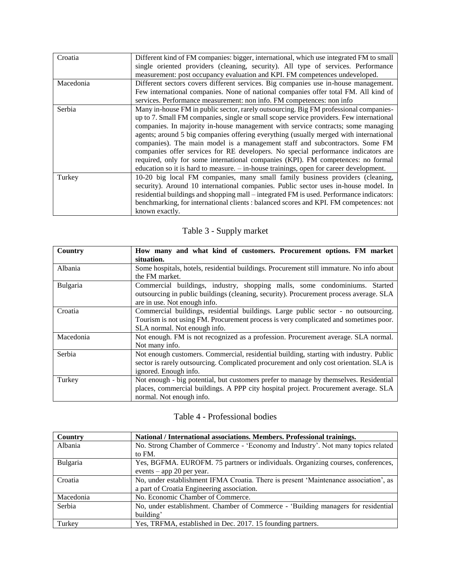| Croatia   | Different kind of FM companies: bigger, international, which use integrated FM to small<br>single oriented providers (cleaning, security). All type of services. Performance<br>measurement: post occupancy evaluation and KPI. FM competences undeveloped.                                                                                                                                                                                                                                                                                                                                                                                                                                                        |
|-----------|--------------------------------------------------------------------------------------------------------------------------------------------------------------------------------------------------------------------------------------------------------------------------------------------------------------------------------------------------------------------------------------------------------------------------------------------------------------------------------------------------------------------------------------------------------------------------------------------------------------------------------------------------------------------------------------------------------------------|
| Macedonia | Different sectors covers different services. Big companies use in-house management.<br>Few international companies. None of national companies offer total FM. All kind of<br>services. Performance measurement: non info. FM competences: non info                                                                                                                                                                                                                                                                                                                                                                                                                                                                |
| Serbia    | Many in-house FM in public sector, rarely outsourcing. Big FM professional companies-<br>up to 7. Small FM companies, single or small scope service providers. Few international<br>companies. In majority in-house management with service contracts; some managing<br>agents; around 5 big companies offering everything (usually merged with international<br>companies). The main model is a management staff and subcontractors. Some FM<br>companies offer services for RE developers. No special performance indicators are<br>required, only for some international companies (KPI). FM competences: no formal<br>education so it is hard to measure. $-$ in-house trainings, open for career development. |
| Turkey    | 10-20 big local FM companies, many small family business providers (cleaning,<br>security). Around 10 international companies. Public sector uses in-house model. In<br>residential buildings and shopping mall – integrated FM is used. Performance indicators:<br>benchmarking, for international clients : balanced scores and KPI. FM competences: not<br>known exactly.                                                                                                                                                                                                                                                                                                                                       |

# Table 3 - Supply market

| Country   | How many and what kind of customers. Procurement options. FM market                      |
|-----------|------------------------------------------------------------------------------------------|
|           | situation.                                                                               |
| Albania   | Some hospitals, hotels, residential buildings. Procurement still immature. No info about |
|           | the FM market.                                                                           |
| Bulgaria  | Commercial buildings, industry, shopping malls, some condominiums. Started               |
|           | outsourcing in public buildings (cleaning, security). Procurement process average. SLA   |
|           | are in use. Not enough info.                                                             |
| Croatia   | Commercial buildings, residential buildings. Large public sector - no outsourcing.       |
|           | Tourism is not using FM. Procurement process is very complicated and sometimes poor.     |
|           | SLA normal. Not enough info.                                                             |
| Macedonia | Not enough. FM is not recognized as a profession. Procurement average. SLA normal.       |
|           | Not many info.                                                                           |
| Serbia    | Not enough customers. Commercial, residential building, starting with industry. Public   |
|           | sector is rarely outsourcing. Complicated procurement and only cost orientation. SLA is  |
|           | ignored. Enough info.                                                                    |
| Turkey    | Not enough - big potential, but customers prefer to manage by themselves. Residential    |
|           | places, commercial buildings. A PPP city hospital project. Procurement average. SLA      |
|           | normal. Not enough info.                                                                 |

# Table 4 - Professional bodies

| Country   | National / International associations. Members. Professional trainings.              |
|-----------|--------------------------------------------------------------------------------------|
| Albania   | No. Strong Chamber of Commerce - 'Economy and Industry'. Not many topics related     |
|           | to FM.                                                                               |
| Bulgaria  | Yes, BGFMA. EUROFM. 75 partners or individuals. Organizing courses, conferences,     |
|           | events – app 20 per year.                                                            |
| Croatia   | No, under establishment IFMA Croatia. There is present 'Maintenance association', as |
|           | a part of Croatia Engineering association.                                           |
| Macedonia | No. Economic Chamber of Commerce.                                                    |
| Serbia    | No, under establishment. Chamber of Commerce - 'Building managers for residential    |
|           | building'                                                                            |
| Turkey    | Yes, TRFMA, established in Dec. 2017. 15 founding partners.                          |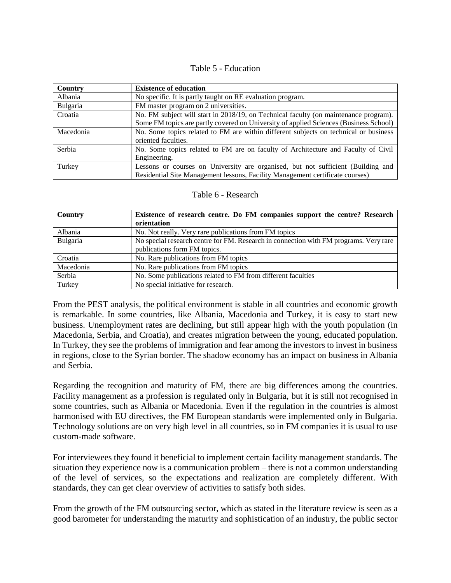#### Table 5 - Education

| <b>Country</b> | <b>Existence of education</b>                                                         |
|----------------|---------------------------------------------------------------------------------------|
| Albania        | No specific. It is partly taught on RE evaluation program.                            |
| Bulgaria       | FM master program on 2 universities.                                                  |
| Croatia        | No. FM subject will start in 2018/19, on Technical faculty (on maintenance program).  |
|                | Some FM topics are partly covered on University of applied Sciences (Business School) |
| Macedonia      | No. Some topics related to FM are within different subjects on technical or business  |
|                | oriented faculties.                                                                   |
| Serbia         | No. Some topics related to FM are on faculty of Architecture and Faculty of Civil     |
|                | Engineering.                                                                          |
| Turkey         | Lessons or courses on University are organised, but not sufficient (Building and      |
|                | Residential Site Management lessons, Facility Management certificate courses)         |

#### Table 6 - Research

| Country   | Existence of research centre. Do FM companies support the centre? Research            |
|-----------|---------------------------------------------------------------------------------------|
|           | orientation                                                                           |
| Albania   | No. Not really. Very rare publications from FM topics                                 |
| Bulgaria  | No special research centre for FM. Research in connection with FM programs. Very rare |
|           | publications form FM topics.                                                          |
| Croatia   | No. Rare publications from FM topics                                                  |
| Macedonia | No. Rare publications from FM topics                                                  |
| Serbia    | No. Some publications related to FM from different faculties                          |
| Turkey    | No special initiative for research.                                                   |

From the PEST analysis, the political environment is stable in all countries and economic growth is remarkable. In some countries, like Albania, Macedonia and Turkey, it is easy to start new business. Unemployment rates are declining, but still appear high with the youth population (in Macedonia, Serbia, and Croatia), and creates migration between the young, educated population. In Turkey, they see the problems of immigration and fear among the investors to invest in business in regions, close to the Syrian border. The shadow economy has an impact on business in Albania and Serbia.

Regarding the recognition and maturity of FM, there are big differences among the countries. Facility management as a profession is regulated only in Bulgaria, but it is still not recognised in some countries, such as Albania or Macedonia. Even if the regulation in the countries is almost harmonised with EU directives, the FM European standards were implemented only in Bulgaria. Technology solutions are on very high level in all countries, so in FM companies it is usual to use custom-made software.

For interviewees they found it beneficial to implement certain facility management standards. The situation they experience now is a communication problem – there is not a common understanding of the level of services, so the expectations and realization are completely different. With standards, they can get clear overview of activities to satisfy both sides.

From the growth of the FM outsourcing sector, which as stated in the literature review is seen as a good barometer for understanding the maturity and sophistication of an industry, the public sector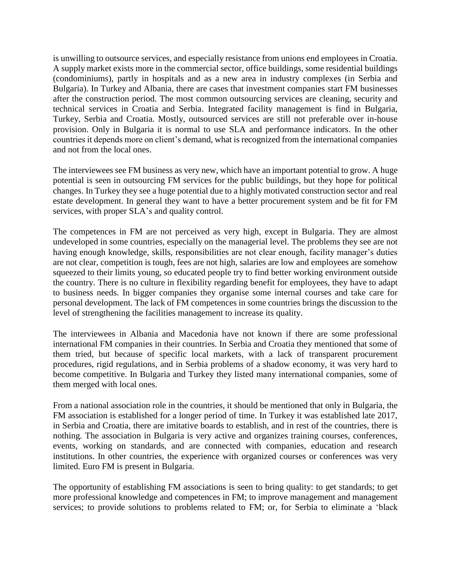is unwilling to outsource services, and especially resistance from unions end employees in Croatia. A supply market exists more in the commercial sector, office buildings, some residential buildings (condominiums), partly in hospitals and as a new area in industry complexes (in Serbia and Bulgaria). In Turkey and Albania, there are cases that investment companies start FM businesses after the construction period. The most common outsourcing services are cleaning, security and technical services in Croatia and Serbia. Integrated facility management is find in Bulgaria, Turkey, Serbia and Croatia. Mostly, outsourced services are still not preferable over in-house provision. Only in Bulgaria it is normal to use SLA and performance indicators. In the other countries it depends more on client's demand, what is recognized from the international companies and not from the local ones.

The interviewees see FM business as very new, which have an important potential to grow. A huge potential is seen in outsourcing FM services for the public buildings, but they hope for political changes. In Turkey they see a huge potential due to a highly motivated construction sector and real estate development. In general they want to have a better procurement system and be fit for FM services, with proper SLA's and quality control.

The competences in FM are not perceived as very high, except in Bulgaria. They are almost undeveloped in some countries, especially on the managerial level. The problems they see are not having enough knowledge, skills, responsibilities are not clear enough, facility manager's duties are not clear, competition is tough, fees are not high, salaries are low and employees are somehow squeezed to their limits young, so educated people try to find better working environment outside the country. There is no culture in flexibility regarding benefit for employees, they have to adapt to business needs. In bigger companies they organise some internal courses and take care for personal development. The lack of FM competences in some countries brings the discussion to the level of strengthening the facilities management to increase its quality.

The interviewees in Albania and Macedonia have not known if there are some professional international FM companies in their countries. In Serbia and Croatia they mentioned that some of them tried, but because of specific local markets, with a lack of transparent procurement procedures, rigid regulations, and in Serbia problems of a shadow economy, it was very hard to become competitive. In Bulgaria and Turkey they listed many international companies, some of them merged with local ones.

From a national association role in the countries, it should be mentioned that only in Bulgaria, the FM association is established for a longer period of time. In Turkey it was established late 2017, in Serbia and Croatia, there are imitative boards to establish, and in rest of the countries, there is nothing. The association in Bulgaria is very active and organizes training courses, conferences, events, working on standards, and are connected with companies, education and research institutions. In other countries, the experience with organized courses or conferences was very limited. Euro FM is present in Bulgaria.

The opportunity of establishing FM associations is seen to bring quality: to get standards; to get more professional knowledge and competences in FM; to improve management and management services; to provide solutions to problems related to FM; or, for Serbia to eliminate a 'black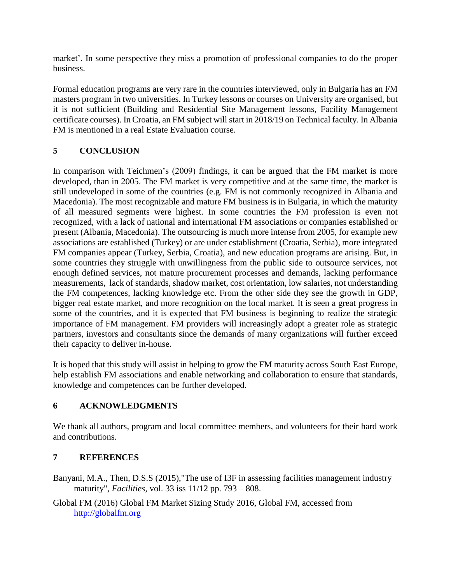market'. In some perspective they miss a promotion of professional companies to do the proper business.

Formal education programs are very rare in the countries interviewed, only in Bulgaria has an FM masters program in two universities. In Turkey lessons or courses on University are organised, but it is not sufficient (Building and Residential Site Management lessons, Facility Management certificate courses). In Croatia, an FM subject will start in 2018/19 on Technical faculty. In Albania FM is mentioned in a real Estate Evaluation course.

# **5 CONCLUSION**

In comparison with Teichmen's (2009) findings, it can be argued that the FM market is more developed, than in 2005. The FM market is very competitive and at the same time, the market is still undeveloped in some of the countries (e.g. FM is not commonly recognized in Albania and Macedonia). The most recognizable and mature FM business is in Bulgaria, in which the maturity of all measured segments were highest. In some countries the FM profession is even not recognized, with a lack of national and international FM associations or companies established or present (Albania, Macedonia). The outsourcing is much more intense from 2005, for example new associations are established (Turkey) or are under establishment (Croatia, Serbia), more integrated FM companies appear (Turkey, Serbia, Croatia), and new education programs are arising. But, in some countries they struggle with unwillingness from the public side to outsource services, not enough defined services, not mature procurement processes and demands, lacking performance measurements, lack of standards, shadow market, cost orientation, low salaries, not understanding the FM competences, lacking knowledge etc. From the other side they see the growth in GDP, bigger real estate market, and more recognition on the local market. It is seen a great progress in some of the countries, and it is expected that FM business is beginning to realize the strategic importance of FM management. FM providers will increasingly adopt a greater role as strategic partners, investors and consultants since the demands of many organizations will further exceed their capacity to deliver in-house.

It is hoped that this study will assist in helping to grow the FM maturity across South East Europe, help establish FM associations and enable networking and collaboration to ensure that standards, knowledge and competences can be further developed.

# **6 ACKNOWLEDGMENTS**

We thank all authors, program and local committee members, and volunteers for their hard work and contributions.

# **7 REFERENCES**

Banyani, M.A., Then, D.S.S (2015),"The use of I3F in assessing facilities management industry maturity", *Facilities*, vol. 33 iss 11/12 pp. 793 – 808.

Global FM (2016) Global FM Market Sizing Study 2016, Global FM, accessed from [http://globalfm.org](http://globalfm.org/)